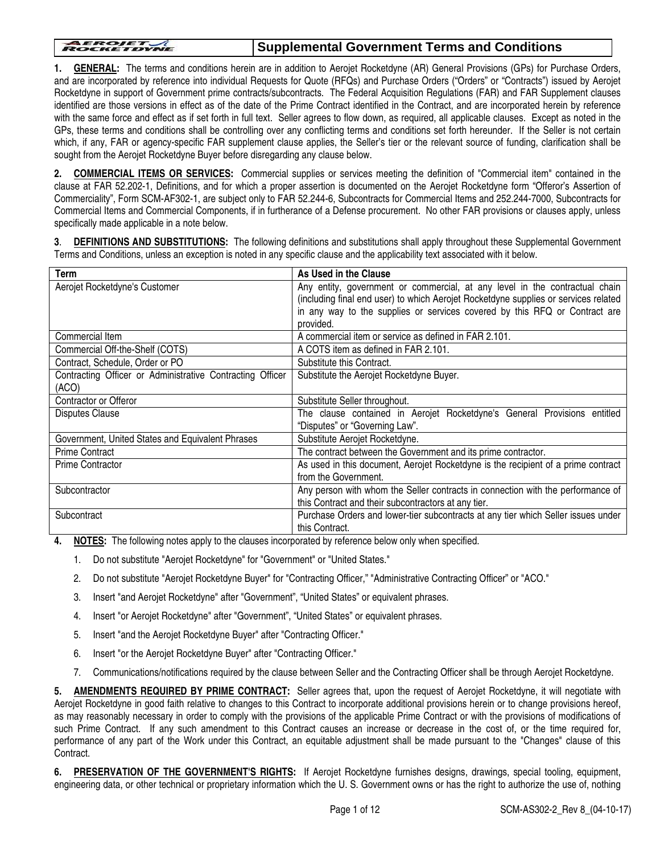#### **AEROJET**

#### **Supplemental Government Terms and Conditions**

**1. GENERAL:** The terms and conditions herein are in addition to Aerojet Rocketdyne (AR) General Provisions (GPs) for Purchase Orders, and are incorporated by reference into individual Requests for Quote (RFQs) and Purchase Orders ("Orders" or "Contracts") issued by Aerojet Rocketdyne in support of Government prime contracts/subcontracts. The Federal Acquisition Regulations (FAR) and FAR Supplement clauses identified are those versions in effect as of the date of the Prime Contract identified in the Contract, and are incorporated herein by reference with the same force and effect as if set forth in full text. Seller agrees to flow down, as required, all applicable clauses. Except as noted in the GPs, these terms and conditions shall be controlling over any conflicting terms and conditions set forth hereunder. If the Seller is not certain which, if any, FAR or agency-specific FAR supplement clause applies, the Seller's tier or the relevant source of funding, clarification shall be sought from the Aerojet Rocketdyne Buyer before disregarding any clause below.

**2. COMMERCIAL ITEMS OR SERVICES:** Commercial supplies or services meeting the definition of "Commercial item" contained in the clause at FAR 52.202-1, Definitions, and for which a proper assertion is documented on the Aerojet Rocketdyne form "Offeror's Assertion of Commerciality", Form SCM-AF302-1, are subject only to FAR 52.244-6, Subcontracts for Commercial Items and 252.244-7000, Subcontracts for Commercial Items and Commercial Components, if in furtherance of a Defense procurement. No other FAR provisions or clauses apply, unless specifically made applicable in a note below.

**3**. **DEFINITIONS AND SUBSTITUTIONS:** The following definitions and substitutions shall apply throughout these Supplemental Government Terms and Conditions, unless an exception is noted in any specific clause and the applicability text associated with it below.

| As Used in the Clause                                                               |
|-------------------------------------------------------------------------------------|
| Any entity, government or commercial, at any level in the contractual chain         |
| (including final end user) to which Aerojet Rocketdyne supplies or services related |
| in any way to the supplies or services covered by this RFQ or Contract are          |
| provided.                                                                           |
| A commercial item or service as defined in FAR 2.101.                               |
| A COTS item as defined in FAR 2.101.                                                |
| Substitute this Contract.                                                           |
| Substitute the Aerojet Rocketdyne Buyer.                                            |
|                                                                                     |
| Substitute Seller throughout.                                                       |
| The clause contained in Aerojet Rocketdyne's General Provisions entitled            |
| "Disputes" or "Governing Law".                                                      |
| Substitute Aerojet Rocketdyne.                                                      |
| The contract between the Government and its prime contractor.                       |
| As used in this document, Aerojet Rocketdyne is the recipient of a prime contract   |
| from the Government.                                                                |
| Any person with whom the Seller contracts in connection with the performance of     |
| this Contract and their subcontractors at any tier.                                 |
| Purchase Orders and lower-tier subcontracts at any tier which Seller issues under   |
| this Contract.                                                                      |
|                                                                                     |

**4. NOTES:** The following notes apply to the clauses incorporated by reference below only when specified.

- 1. Do not substitute "Aerojet Rocketdyne" for "Government" or "United States."
- 2. Do not substitute "Aerojet Rocketdyne Buyer" for "Contracting Officer," "Administrative Contracting Officer" or "ACO."
- 3. Insert "and Aerojet Rocketdyne" after "Government", "United States" or equivalent phrases.
- 4. Insert "or Aerojet Rocketdyne" after "Government", "United States" or equivalent phrases.
- 5. Insert "and the Aerojet Rocketdyne Buyer" after "Contracting Officer."
- 6. Insert "or the Aerojet Rocketdyne Buyer" after "Contracting Officer."
- 7. Communications/notifications required by the clause between Seller and the Contracting Officer shall be through Aerojet Rocketdyne.

**5. AMENDMENTS REQUIRED BY PRIME CONTRACT:** Seller agrees that, upon the request of Aerojet Rocketdyne, it will negotiate with Aerojet Rocketdyne in good faith relative to changes to this Contract to incorporate additional provisions herein or to change provisions hereof, as may reasonably necessary in order to comply with the provisions of the applicable Prime Contract or with the provisions of modifications of such Prime Contract. If any such amendment to this Contract causes an increase or decrease in the cost of, or the time required for, performance of any part of the Work under this Contract, an equitable adjustment shall be made pursuant to the "Changes" clause of this Contract.

**6. PRESERVATION OF THE GOVERNMENT'S RIGHTS:** If Aerojet Rocketdyne furnishes designs, drawings, special tooling, equipment, engineering data, or other technical or proprietary information which the U. S. Government owns or has the right to authorize the use of, nothing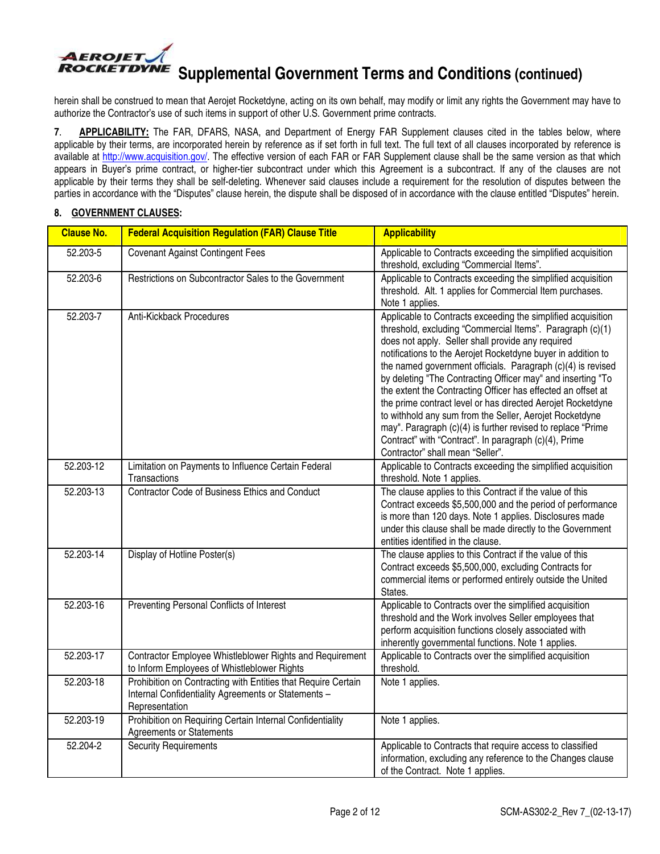

herein shall be construed to mean that Aerojet Rocketdyne, acting on its own behalf, may modify or limit any rights the Government may have to authorize the Contractor's use of such items in support of other U.S. Government prime contracts.

**7**. **APPLICABILITY:** The FAR, DFARS, NASA, and Department of Energy FAR Supplement clauses cited in the tables below, where applicable by their terms, are incorporated herein by reference as if set forth in full text. The full text of all clauses incorporated by reference is available at [http://www.acquisition.gov](https://www.acquisition.gov/)/. The effective version of each FAR or FAR Supplement clause shall be the same version as that which appears in Buyer's prime contract, or higher-tier subcontract under which this Agreement is a subcontract. If any of the clauses are not applicable by their terms they shall be self-deleting. Whenever said clauses include a requirement for the resolution of disputes between the parties in accordance with the "Disputes" clause herein, the dispute shall be disposed of in accordance with the clause entitled "Disputes" herein.

#### **8. GOVERNMENT CLAUSES:**

| <b>Clause No.</b> | <b>Federal Acquisition Regulation (FAR) Clause Title</b>                                                                               | <b>Applicability</b>                                                                                                                                                                                                                                                                                                                                                                                                                                                                                                                                                                                                                                                                                                               |
|-------------------|----------------------------------------------------------------------------------------------------------------------------------------|------------------------------------------------------------------------------------------------------------------------------------------------------------------------------------------------------------------------------------------------------------------------------------------------------------------------------------------------------------------------------------------------------------------------------------------------------------------------------------------------------------------------------------------------------------------------------------------------------------------------------------------------------------------------------------------------------------------------------------|
| 52.203-5          | <b>Covenant Against Contingent Fees</b>                                                                                                | Applicable to Contracts exceeding the simplified acquisition<br>threshold, excluding "Commercial Items".                                                                                                                                                                                                                                                                                                                                                                                                                                                                                                                                                                                                                           |
| 52.203-6          | Restrictions on Subcontractor Sales to the Government                                                                                  | Applicable to Contracts exceeding the simplified acquisition<br>threshold. Alt. 1 applies for Commercial Item purchases.<br>Note 1 applies.                                                                                                                                                                                                                                                                                                                                                                                                                                                                                                                                                                                        |
| 52.203-7          | Anti-Kickback Procedures                                                                                                               | Applicable to Contracts exceeding the simplified acquisition<br>threshold, excluding "Commercial Items". Paragraph (c)(1)<br>does not apply. Seller shall provide any required<br>notifications to the Aerojet Rocketdyne buyer in addition to<br>the named government officials. Paragraph (c)(4) is revised<br>by deleting "The Contracting Officer may" and inserting "To<br>the extent the Contracting Officer has effected an offset at<br>the prime contract level or has directed Aerojet Rocketdyne<br>to withhold any sum from the Seller, Aerojet Rocketdyne<br>may". Paragraph (c)(4) is further revised to replace "Prime<br>Contract" with "Contract". In paragraph (c)(4), Prime<br>Contractor" shall mean "Seller". |
| 52.203-12         | Limitation on Payments to Influence Certain Federal<br>Transactions                                                                    | Applicable to Contracts exceeding the simplified acquisition<br>threshold. Note 1 applies.                                                                                                                                                                                                                                                                                                                                                                                                                                                                                                                                                                                                                                         |
| 52.203-13         | Contractor Code of Business Ethics and Conduct                                                                                         | The clause applies to this Contract if the value of this<br>Contract exceeds \$5,500,000 and the period of performance<br>is more than 120 days. Note 1 applies. Disclosures made<br>under this clause shall be made directly to the Government<br>entities identified in the clause.                                                                                                                                                                                                                                                                                                                                                                                                                                              |
| 52.203-14         | Display of Hotline Poster(s)                                                                                                           | The clause applies to this Contract if the value of this<br>Contract exceeds \$5,500,000, excluding Contracts for<br>commercial items or performed entirely outside the United<br>States.                                                                                                                                                                                                                                                                                                                                                                                                                                                                                                                                          |
| 52.203-16         | Preventing Personal Conflicts of Interest                                                                                              | Applicable to Contracts over the simplified acquisition<br>threshold and the Work involves Seller employees that<br>perform acquisition functions closely associated with<br>inherently governmental functions. Note 1 applies.                                                                                                                                                                                                                                                                                                                                                                                                                                                                                                    |
| 52.203-17         | Contractor Employee Whistleblower Rights and Requirement<br>to Inform Employees of Whistleblower Rights                                | Applicable to Contracts over the simplified acquisition<br>threshold.                                                                                                                                                                                                                                                                                                                                                                                                                                                                                                                                                                                                                                                              |
| 52.203-18         | Prohibition on Contracting with Entities that Require Certain<br>Internal Confidentiality Agreements or Statements -<br>Representation | Note 1 applies.                                                                                                                                                                                                                                                                                                                                                                                                                                                                                                                                                                                                                                                                                                                    |
| 52.203-19         | Prohibition on Requiring Certain Internal Confidentiality<br><b>Agreements or Statements</b>                                           | Note 1 applies.                                                                                                                                                                                                                                                                                                                                                                                                                                                                                                                                                                                                                                                                                                                    |
| 52.204-2          | <b>Security Requirements</b>                                                                                                           | Applicable to Contracts that require access to classified<br>information, excluding any reference to the Changes clause<br>of the Contract. Note 1 applies.                                                                                                                                                                                                                                                                                                                                                                                                                                                                                                                                                                        |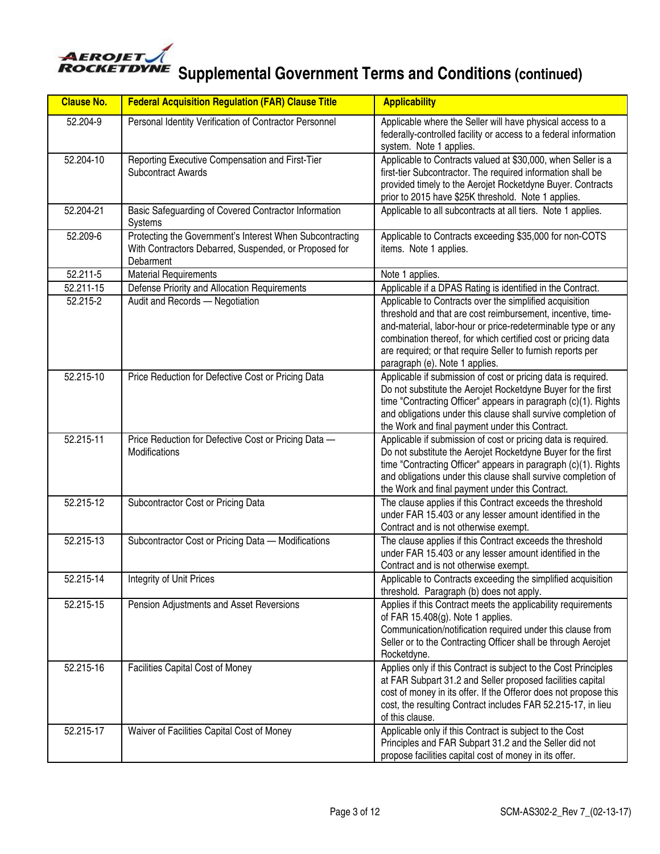

| <b>Clause No.</b> | <b>Federal Acquisition Regulation (FAR) Clause Title</b>                                                                       | <b>Applicability</b>                                                                                                                                                                                                                                                                                                                                     |
|-------------------|--------------------------------------------------------------------------------------------------------------------------------|----------------------------------------------------------------------------------------------------------------------------------------------------------------------------------------------------------------------------------------------------------------------------------------------------------------------------------------------------------|
| 52.204-9          | Personal Identity Verification of Contractor Personnel                                                                         | Applicable where the Seller will have physical access to a<br>federally-controlled facility or access to a federal information<br>system. Note 1 applies.                                                                                                                                                                                                |
| 52.204-10         | Reporting Executive Compensation and First-Tier<br><b>Subcontract Awards</b>                                                   | Applicable to Contracts valued at \$30,000, when Seller is a<br>first-tier Subcontractor. The required information shall be<br>provided timely to the Aerojet Rocketdyne Buyer. Contracts<br>prior to 2015 have \$25K threshold. Note 1 applies.                                                                                                         |
| 52.204-21         | Basic Safeguarding of Covered Contractor Information<br>Systems                                                                | Applicable to all subcontracts at all tiers. Note 1 applies.                                                                                                                                                                                                                                                                                             |
| 52.209-6          | Protecting the Government's Interest When Subcontracting<br>With Contractors Debarred, Suspended, or Proposed for<br>Debarment | Applicable to Contracts exceeding \$35,000 for non-COTS<br>items. Note 1 applies.                                                                                                                                                                                                                                                                        |
| 52.211-5          | <b>Material Requirements</b>                                                                                                   | Note 1 applies.                                                                                                                                                                                                                                                                                                                                          |
| 52.211-15         | Defense Priority and Allocation Requirements                                                                                   | Applicable if a DPAS Rating is identified in the Contract.                                                                                                                                                                                                                                                                                               |
| 52.215-2          | Audit and Records - Negotiation                                                                                                | Applicable to Contracts over the simplified acquisition<br>threshold and that are cost reimbursement, incentive, time-<br>and-material, labor-hour or price-redeterminable type or any<br>combination thereof, for which certified cost or pricing data<br>are required; or that require Seller to furnish reports per<br>paragraph (e). Note 1 applies. |
| 52.215-10         | Price Reduction for Defective Cost or Pricing Data                                                                             | Applicable if submission of cost or pricing data is required.<br>Do not substitute the Aerojet Rocketdyne Buyer for the first<br>time "Contracting Officer" appears in paragraph (c)(1). Rights<br>and obligations under this clause shall survive completion of<br>the Work and final payment under this Contract.                                      |
| 52.215-11         | Price Reduction for Defective Cost or Pricing Data -<br>Modifications                                                          | Applicable if submission of cost or pricing data is required.<br>Do not substitute the Aerojet Rocketdyne Buyer for the first<br>time "Contracting Officer" appears in paragraph (c)(1). Rights<br>and obligations under this clause shall survive completion of<br>the Work and final payment under this Contract.                                      |
| 52.215-12         | Subcontractor Cost or Pricing Data                                                                                             | The clause applies if this Contract exceeds the threshold<br>under FAR 15.403 or any lesser amount identified in the<br>Contract and is not otherwise exempt.                                                                                                                                                                                            |
| 52.215-13         | Subcontractor Cost or Pricing Data - Modifications                                                                             | The clause applies if this Contract exceeds the threshold<br>under FAR 15.403 or any lesser amount identified in the<br>Contract and is not otherwise exempt.                                                                                                                                                                                            |
| 52.215-14         | Integrity of Unit Prices                                                                                                       | Applicable to Contracts exceeding the simplified acquisition<br>threshold. Paragraph (b) does not apply.                                                                                                                                                                                                                                                 |
| 52.215-15         | Pension Adjustments and Asset Reversions                                                                                       | Applies if this Contract meets the applicability requirements<br>of FAR 15.408(g). Note 1 applies.<br>Communication/notification required under this clause from<br>Seller or to the Contracting Officer shall be through Aerojet<br>Rocketdyne.                                                                                                         |
| 52.215-16         | Facilities Capital Cost of Money                                                                                               | Applies only if this Contract is subject to the Cost Principles<br>at FAR Subpart 31.2 and Seller proposed facilities capital<br>cost of money in its offer. If the Offeror does not propose this<br>cost, the resulting Contract includes FAR 52.215-17, in lieu<br>of this clause.                                                                     |
| 52.215-17         | Waiver of Facilities Capital Cost of Money                                                                                     | Applicable only if this Contract is subject to the Cost<br>Principles and FAR Subpart 31.2 and the Seller did not<br>propose facilities capital cost of money in its offer.                                                                                                                                                                              |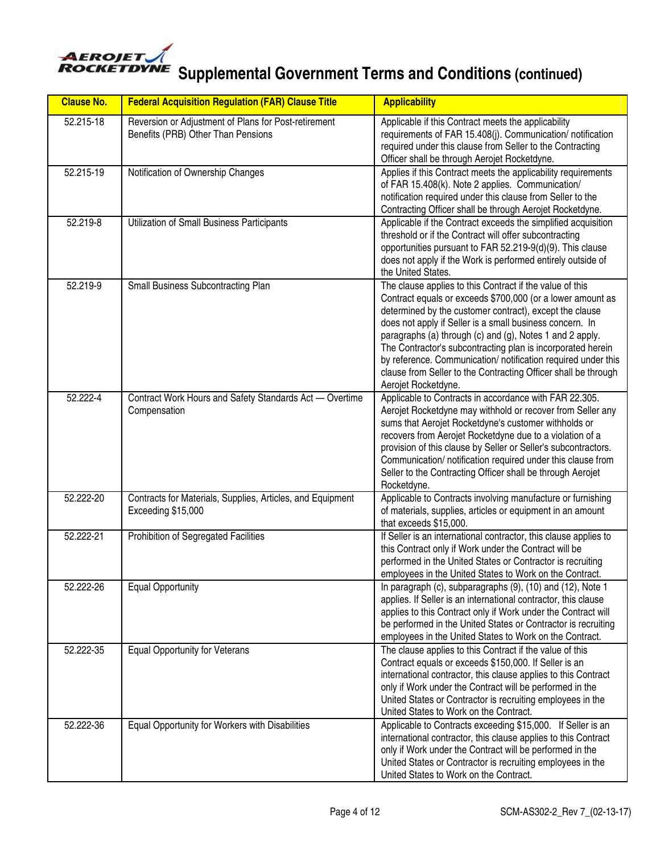

| <b>Clause No.</b> | <b>Federal Acquisition Regulation (FAR) Clause Title</b>                                   | <b>Applicability</b>                                                                                                                                                                                                                                                                                                                                                                                                                                                                                                               |
|-------------------|--------------------------------------------------------------------------------------------|------------------------------------------------------------------------------------------------------------------------------------------------------------------------------------------------------------------------------------------------------------------------------------------------------------------------------------------------------------------------------------------------------------------------------------------------------------------------------------------------------------------------------------|
| 52.215-18         | Reversion or Adjustment of Plans for Post-retirement<br>Benefits (PRB) Other Than Pensions | Applicable if this Contract meets the applicability<br>requirements of FAR 15.408(j). Communication/ notification<br>required under this clause from Seller to the Contracting<br>Officer shall be through Aerojet Rocketdyne.                                                                                                                                                                                                                                                                                                     |
| 52.215-19         | Notification of Ownership Changes                                                          | Applies if this Contract meets the applicability requirements<br>of FAR 15.408(k). Note 2 applies. Communication/<br>notification required under this clause from Seller to the<br>Contracting Officer shall be through Aerojet Rocketdyne.                                                                                                                                                                                                                                                                                        |
| 52.219-8          | Utilization of Small Business Participants                                                 | Applicable if the Contract exceeds the simplified acquisition<br>threshold or if the Contract will offer subcontracting<br>opportunities pursuant to FAR 52.219-9(d)(9). This clause<br>does not apply if the Work is performed entirely outside of<br>the United States.                                                                                                                                                                                                                                                          |
| 52.219-9          | Small Business Subcontracting Plan                                                         | The clause applies to this Contract if the value of this<br>Contract equals or exceeds \$700,000 (or a lower amount as<br>determined by the customer contract), except the clause<br>does not apply if Seller is a small business concern. In<br>paragraphs (a) through (c) and (g), Notes 1 and 2 apply.<br>The Contractor's subcontracting plan is incorporated herein<br>by reference. Communication/ notification required under this<br>clause from Seller to the Contracting Officer shall be through<br>Aerojet Rocketdyne. |
| 52.222-4          | Contract Work Hours and Safety Standards Act - Overtime<br>Compensation                    | Applicable to Contracts in accordance with FAR 22.305.<br>Aerojet Rocketdyne may withhold or recover from Seller any<br>sums that Aerojet Rocketdyne's customer withholds or<br>recovers from Aerojet Rocketdyne due to a violation of a<br>provision of this clause by Seller or Seller's subcontractors.<br>Communication/ notification required under this clause from<br>Seller to the Contracting Officer shall be through Aerojet<br>Rocketdyne.                                                                             |
| 52.222-20         | Contracts for Materials, Supplies, Articles, and Equipment<br>Exceeding \$15,000           | Applicable to Contracts involving manufacture or furnishing<br>of materials, supplies, articles or equipment in an amount<br>that exceeds \$15,000.                                                                                                                                                                                                                                                                                                                                                                                |
| 52.222-21         | Prohibition of Segregated Facilities                                                       | If Seller is an international contractor, this clause applies to<br>this Contract only if Work under the Contract will be<br>performed in the United States or Contractor is recruiting<br>employees in the United States to Work on the Contract.                                                                                                                                                                                                                                                                                 |
| 52.222-26         | <b>Equal Opportunity</b>                                                                   | In paragraph (c), subparagraphs (9), (10) and (12), Note 1<br>applies. If Seller is an international contractor, this clause<br>applies to this Contract only if Work under the Contract will<br>be performed in the United States or Contractor is recruiting<br>employees in the United States to Work on the Contract.                                                                                                                                                                                                          |
| 52.222-35         | <b>Equal Opportunity for Veterans</b>                                                      | The clause applies to this Contract if the value of this<br>Contract equals or exceeds \$150,000. If Seller is an<br>international contractor, this clause applies to this Contract<br>only if Work under the Contract will be performed in the<br>United States or Contractor is recruiting employees in the<br>United States to Work on the Contract.                                                                                                                                                                            |
| 52.222-36         | Equal Opportunity for Workers with Disabilities                                            | Applicable to Contracts exceeding \$15,000. If Seller is an<br>international contractor, this clause applies to this Contract<br>only if Work under the Contract will be performed in the<br>United States or Contractor is recruiting employees in the<br>United States to Work on the Contract.                                                                                                                                                                                                                                  |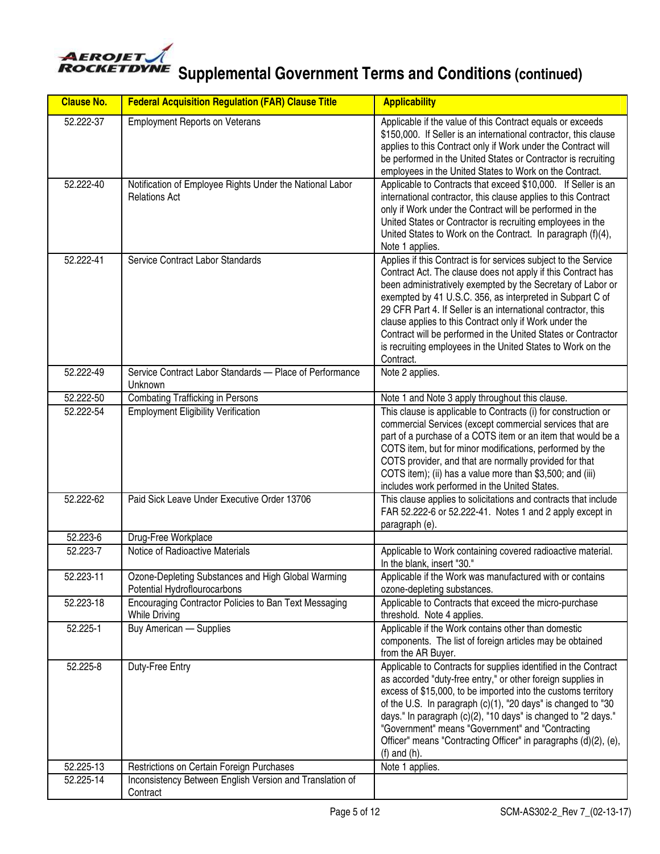

**AEROJET**<br> **ROCKETDYNE** Supplemental Government Terms and Conditions (continued)

| <b>Clause No.</b> | <b>Federal Acquisition Regulation (FAR) Clause Title</b>                           | <b>Applicability</b>                                                                                                                                                                                                                                                                                                                                                                                                                                                                                                                |
|-------------------|------------------------------------------------------------------------------------|-------------------------------------------------------------------------------------------------------------------------------------------------------------------------------------------------------------------------------------------------------------------------------------------------------------------------------------------------------------------------------------------------------------------------------------------------------------------------------------------------------------------------------------|
| 52.222-37         | <b>Employment Reports on Veterans</b>                                              | Applicable if the value of this Contract equals or exceeds<br>\$150,000. If Seller is an international contractor, this clause<br>applies to this Contract only if Work under the Contract will<br>be performed in the United States or Contractor is recruiting<br>employees in the United States to Work on the Contract.                                                                                                                                                                                                         |
| 52.222-40         | Notification of Employee Rights Under the National Labor<br><b>Relations Act</b>   | Applicable to Contracts that exceed \$10,000. If Seller is an<br>international contractor, this clause applies to this Contract<br>only if Work under the Contract will be performed in the<br>United States or Contractor is recruiting employees in the<br>United States to Work on the Contract. In paragraph (f)(4),<br>Note 1 applies.                                                                                                                                                                                         |
| 52.222-41         | Service Contract Labor Standards                                                   | Applies if this Contract is for services subject to the Service<br>Contract Act. The clause does not apply if this Contract has<br>been administratively exempted by the Secretary of Labor or<br>exempted by 41 U.S.C. 356, as interpreted in Subpart C of<br>29 CFR Part 4. If Seller is an international contractor, this<br>clause applies to this Contract only if Work under the<br>Contract will be performed in the United States or Contractor<br>is recruiting employees in the United States to Work on the<br>Contract. |
| 52.222-49         | Service Contract Labor Standards - Place of Performance<br>Unknown                 | Note 2 applies.                                                                                                                                                                                                                                                                                                                                                                                                                                                                                                                     |
| 52.222-50         | <b>Combating Trafficking in Persons</b>                                            | Note 1 and Note 3 apply throughout this clause.                                                                                                                                                                                                                                                                                                                                                                                                                                                                                     |
| 52.222-54         | <b>Employment Eligibility Verification</b>                                         | This clause is applicable to Contracts (i) for construction or<br>commercial Services (except commercial services that are<br>part of a purchase of a COTS item or an item that would be a<br>COTS item, but for minor modifications, performed by the<br>COTS provider, and that are normally provided for that<br>COTS item); (ii) has a value more than \$3,500; and (iii)<br>includes work performed in the United States.                                                                                                      |
| 52.222-62         | Paid Sick Leave Under Executive Order 13706                                        | This clause applies to solicitations and contracts that include<br>FAR 52.222-6 or 52.222-41. Notes 1 and 2 apply except in<br>paragraph (e).                                                                                                                                                                                                                                                                                                                                                                                       |
| 52.223-6          | Drug-Free Workplace                                                                |                                                                                                                                                                                                                                                                                                                                                                                                                                                                                                                                     |
| 52.223-7          | Notice of Radioactive Materials                                                    | Applicable to Work containing covered radioactive material.<br>In the blank, insert "30."                                                                                                                                                                                                                                                                                                                                                                                                                                           |
| 52.223-11         | Ozone-Depleting Substances and High Global Warming<br>Potential Hydroflourocarbons | Applicable if the Work was manufactured with or contains<br>ozone-depleting substances.                                                                                                                                                                                                                                                                                                                                                                                                                                             |
| 52.223-18         | Encouraging Contractor Policies to Ban Text Messaging<br><b>While Driving</b>      | Applicable to Contracts that exceed the micro-purchase<br>threshold. Note 4 applies.                                                                                                                                                                                                                                                                                                                                                                                                                                                |
| 52.225-1          | Buy American - Supplies                                                            | Applicable if the Work contains other than domestic<br>components. The list of foreign articles may be obtained<br>from the AR Buyer.                                                                                                                                                                                                                                                                                                                                                                                               |
| 52.225-8          | Duty-Free Entry                                                                    | Applicable to Contracts for supplies identified in the Contract<br>as accorded "duty-free entry," or other foreign supplies in<br>excess of \$15,000, to be imported into the customs territory<br>of the U.S. In paragraph (c)(1), "20 days" is changed to "30<br>days." In paragraph (c)(2), "10 days" is changed to "2 days."<br>"Government" means "Government" and "Contracting<br>Officer" means "Contracting Officer" in paragraphs (d)(2), (e),<br>$(f)$ and $(h)$ .                                                        |
| 52.225-13         | Restrictions on Certain Foreign Purchases                                          | Note 1 applies.                                                                                                                                                                                                                                                                                                                                                                                                                                                                                                                     |
| 52.225-14         | Inconsistency Between English Version and Translation of<br>Contract               |                                                                                                                                                                                                                                                                                                                                                                                                                                                                                                                                     |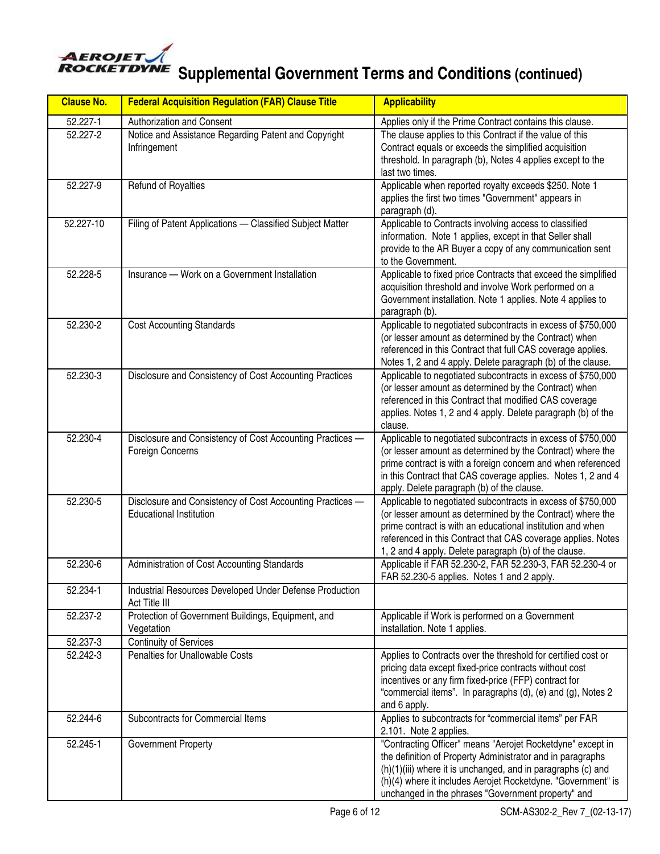

**AEROJET**<br> **ROCKETDYNE** Supplemental Government Terms and Conditions (continued)

| <b>Clause No.</b> | <b>Federal Acquisition Regulation (FAR) Clause Title</b>                                    | <b>Applicability</b>                                                                                                                                                                                                                                                                                              |
|-------------------|---------------------------------------------------------------------------------------------|-------------------------------------------------------------------------------------------------------------------------------------------------------------------------------------------------------------------------------------------------------------------------------------------------------------------|
| 52.227-1          | Authorization and Consent                                                                   | Applies only if the Prime Contract contains this clause.                                                                                                                                                                                                                                                          |
| 52.227-2          | Notice and Assistance Regarding Patent and Copyright<br>Infringement                        | The clause applies to this Contract if the value of this<br>Contract equals or exceeds the simplified acquisition<br>threshold. In paragraph (b), Notes 4 applies except to the<br>last two times.                                                                                                                |
| 52.227-9          | Refund of Royalties                                                                         | Applicable when reported royalty exceeds \$250. Note 1<br>applies the first two times "Government" appears in<br>paragraph (d).                                                                                                                                                                                   |
| 52.227-10         | Filing of Patent Applications - Classified Subject Matter                                   | Applicable to Contracts involving access to classified<br>information. Note 1 applies, except in that Seller shall<br>provide to the AR Buyer a copy of any communication sent<br>to the Government.                                                                                                              |
| 52.228-5          | Insurance - Work on a Government Installation                                               | Applicable to fixed price Contracts that exceed the simplified<br>acquisition threshold and involve Work performed on a<br>Government installation. Note 1 applies. Note 4 applies to<br>paragraph (b).                                                                                                           |
| 52.230-2          | <b>Cost Accounting Standards</b>                                                            | Applicable to negotiated subcontracts in excess of \$750,000<br>(or lesser amount as determined by the Contract) when<br>referenced in this Contract that full CAS coverage applies.<br>Notes 1, 2 and 4 apply. Delete paragraph (b) of the clause.                                                               |
| 52.230-3          | Disclosure and Consistency of Cost Accounting Practices                                     | Applicable to negotiated subcontracts in excess of \$750,000<br>(or lesser amount as determined by the Contract) when<br>referenced in this Contract that modified CAS coverage<br>applies. Notes 1, 2 and 4 apply. Delete paragraph (b) of the<br>clause.                                                        |
| 52.230-4          | Disclosure and Consistency of Cost Accounting Practices -<br>Foreign Concerns               | Applicable to negotiated subcontracts in excess of \$750,000<br>(or lesser amount as determined by the Contract) where the<br>prime contract is with a foreign concern and when referenced<br>in this Contract that CAS coverage applies. Notes 1, 2 and 4<br>apply. Delete paragraph (b) of the clause.          |
| 52.230-5          | Disclosure and Consistency of Cost Accounting Practices -<br><b>Educational Institution</b> | Applicable to negotiated subcontracts in excess of \$750,000<br>(or lesser amount as determined by the Contract) where the<br>prime contract is with an educational institution and when<br>referenced in this Contract that CAS coverage applies. Notes<br>1, 2 and 4 apply. Delete paragraph (b) of the clause. |
| 52.230-6          | Administration of Cost Accounting Standards                                                 | Applicable if FAR 52.230-2, FAR 52.230-3, FAR 52.230-4 or<br>FAR 52.230-5 applies. Notes 1 and 2 apply.                                                                                                                                                                                                           |
| 52.234-1          | Industrial Resources Developed Under Defense Production<br>Act Title III                    |                                                                                                                                                                                                                                                                                                                   |
| 52.237-2          | Protection of Government Buildings, Equipment, and<br>Vegetation                            | Applicable if Work is performed on a Government<br>installation. Note 1 applies.                                                                                                                                                                                                                                  |
| 52.237-3          | <b>Continuity of Services</b>                                                               |                                                                                                                                                                                                                                                                                                                   |
| 52.242-3          | Penalties for Unallowable Costs                                                             | Applies to Contracts over the threshold for certified cost or<br>pricing data except fixed-price contracts without cost<br>incentives or any firm fixed-price (FFP) contract for<br>"commercial items". In paragraphs (d), (e) and (g), Notes 2<br>and 6 apply.                                                   |
| 52.244-6          | Subcontracts for Commercial Items                                                           | Applies to subcontracts for "commercial items" per FAR<br>2.101. Note 2 applies.                                                                                                                                                                                                                                  |
| 52.245-1          | Government Property                                                                         | "Contracting Officer" means "Aerojet Rocketdyne" except in<br>the definition of Property Administrator and in paragraphs<br>(h)(1)(iii) where it is unchanged, and in paragraphs (c) and<br>(h)(4) where it includes Aerojet Rocketdyne. "Government" is<br>unchanged in the phrases "Government property" and    |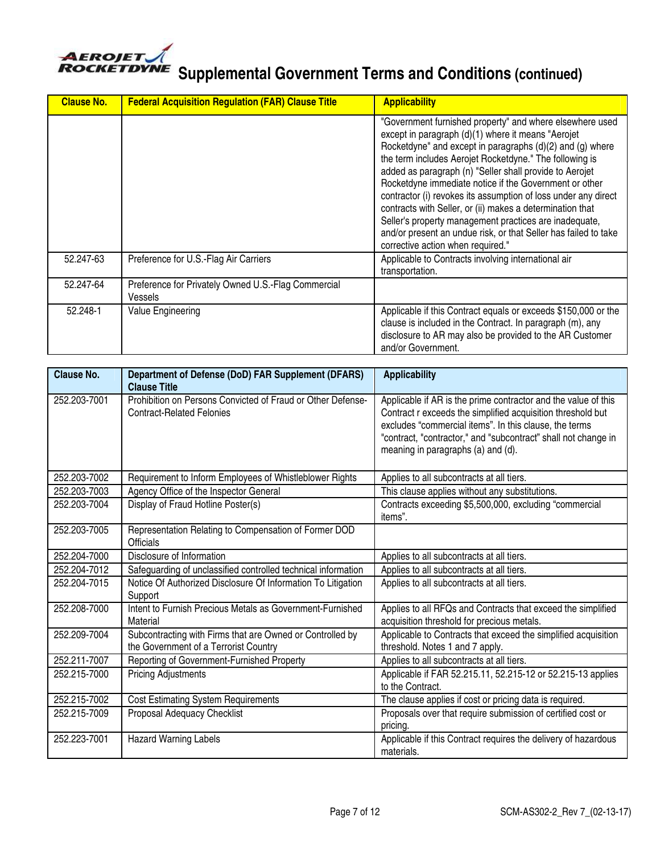

| <b>Clause No.</b> | <b>Federal Acquisition Regulation (FAR) Clause Title</b>       | <b>Applicability</b>                                                                                                                                                                                                                                                                                                                                                                                                                                                                                                                                                                                                                                         |
|-------------------|----------------------------------------------------------------|--------------------------------------------------------------------------------------------------------------------------------------------------------------------------------------------------------------------------------------------------------------------------------------------------------------------------------------------------------------------------------------------------------------------------------------------------------------------------------------------------------------------------------------------------------------------------------------------------------------------------------------------------------------|
|                   |                                                                | "Government furnished property" and where elsewhere used<br>except in paragraph (d)(1) where it means "Aerojet<br>Rocketdyne" and except in paragraphs (d)(2) and (g) where<br>the term includes Aerojet Rocketdyne." The following is<br>added as paragraph (n) "Seller shall provide to Aerojet<br>Rocketdyne immediate notice if the Government or other<br>contractor (i) revokes its assumption of loss under any direct<br>contracts with Seller, or (ii) makes a determination that<br>Seller's property management practices are inadequate,<br>and/or present an undue risk, or that Seller has failed to take<br>corrective action when required." |
| 52.247-63         | Preference for U.S.-Flag Air Carriers                          | Applicable to Contracts involving international air<br>transportation.                                                                                                                                                                                                                                                                                                                                                                                                                                                                                                                                                                                       |
| 52.247-64         | Preference for Privately Owned U.S.-Flag Commercial<br>Vessels |                                                                                                                                                                                                                                                                                                                                                                                                                                                                                                                                                                                                                                                              |
| 52.248-1          | Value Engineering                                              | Applicable if this Contract equals or exceeds \$150,000 or the<br>clause is included in the Contract. In paragraph (m), any<br>disclosure to AR may also be provided to the AR Customer<br>and/or Government.                                                                                                                                                                                                                                                                                                                                                                                                                                                |

| <b>Clause No.</b> | Department of Defense (DoD) FAR Supplement (DFARS)<br><b>Clause Title</b>                          | <b>Applicability</b>                                                                                                                                                                                                                                                                            |
|-------------------|----------------------------------------------------------------------------------------------------|-------------------------------------------------------------------------------------------------------------------------------------------------------------------------------------------------------------------------------------------------------------------------------------------------|
| 252.203-7001      | Prohibition on Persons Convicted of Fraud or Other Defense-<br><b>Contract-Related Felonies</b>    | Applicable if AR is the prime contractor and the value of this<br>Contract r exceeds the simplified acquisition threshold but<br>excludes "commercial items". In this clause, the terms<br>"contract, "contractor," and "subcontract" shall not change in<br>meaning in paragraphs (a) and (d). |
| 252.203-7002      | Requirement to Inform Employees of Whistleblower Rights                                            | Applies to all subcontracts at all tiers.                                                                                                                                                                                                                                                       |
| 252.203-7003      | Agency Office of the Inspector General                                                             | This clause applies without any substitutions.                                                                                                                                                                                                                                                  |
| 252.203-7004      | Display of Fraud Hotline Poster(s)                                                                 | Contracts exceeding \$5,500,000, excluding "commercial<br>items".                                                                                                                                                                                                                               |
| 252.203-7005      | Representation Relating to Compensation of Former DOD<br><b>Officials</b>                          |                                                                                                                                                                                                                                                                                                 |
| 252.204-7000      | Disclosure of Information                                                                          | Applies to all subcontracts at all tiers.                                                                                                                                                                                                                                                       |
| 252.204-7012      | Safeguarding of unclassified controlled technical information                                      | Applies to all subcontracts at all tiers.                                                                                                                                                                                                                                                       |
| 252.204-7015      | Notice Of Authorized Disclosure Of Information To Litigation<br>Support                            | Applies to all subcontracts at all tiers.                                                                                                                                                                                                                                                       |
| 252.208-7000      | Intent to Furnish Precious Metals as Government-Furnished<br>Material                              | Applies to all RFQs and Contracts that exceed the simplified<br>acquisition threshold for precious metals.                                                                                                                                                                                      |
| 252.209-7004      | Subcontracting with Firms that are Owned or Controlled by<br>the Government of a Terrorist Country | Applicable to Contracts that exceed the simplified acquisition<br>threshold. Notes 1 and 7 apply.                                                                                                                                                                                               |
| 252.211-7007      | Reporting of Government-Furnished Property                                                         | Applies to all subcontracts at all tiers.                                                                                                                                                                                                                                                       |
| 252.215-7000      | <b>Pricing Adjustments</b>                                                                         | Applicable if FAR 52.215.11, 52.215-12 or 52.215-13 applies<br>to the Contract.                                                                                                                                                                                                                 |
| 252.215-7002      | <b>Cost Estimating System Requirements</b>                                                         | The clause applies if cost or pricing data is required.                                                                                                                                                                                                                                         |
| 252.215-7009      | Proposal Adequacy Checklist                                                                        | Proposals over that require submission of certified cost or<br>pricing.                                                                                                                                                                                                                         |
| 252.223-7001      | <b>Hazard Warning Labels</b>                                                                       | Applicable if this Contract requires the delivery of hazardous<br>materials.                                                                                                                                                                                                                    |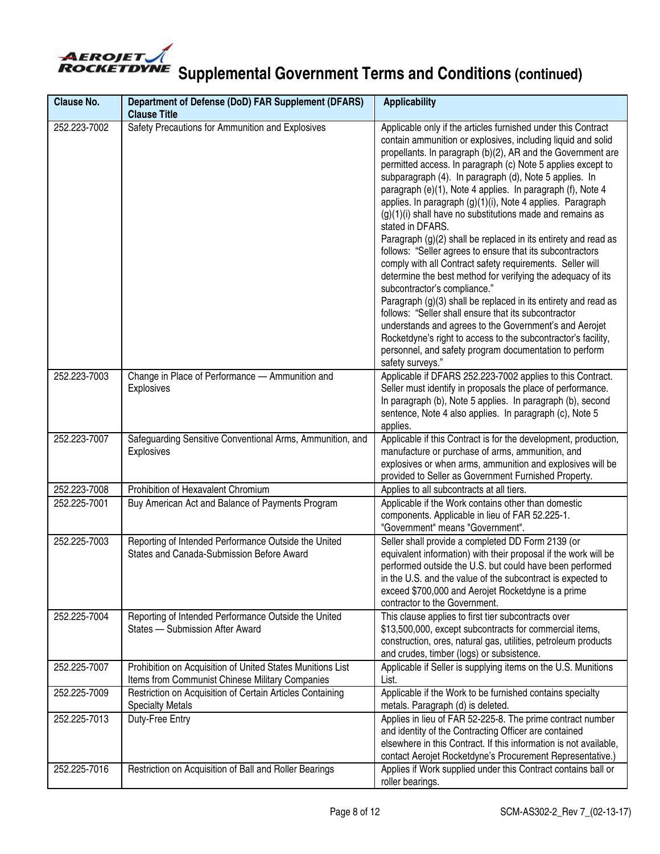

| <b>Clause No.</b> | Department of Defense (DoD) FAR Supplement (DFARS)<br><b>Clause Title</b>                                     | <b>Applicability</b>                                                                                                                                                                                                                                                                                                                                                                                                                                                                                                                                                                                                                                                                                                                                                                                                                                                                                                                                                                                                                                                                                                                                               |
|-------------------|---------------------------------------------------------------------------------------------------------------|--------------------------------------------------------------------------------------------------------------------------------------------------------------------------------------------------------------------------------------------------------------------------------------------------------------------------------------------------------------------------------------------------------------------------------------------------------------------------------------------------------------------------------------------------------------------------------------------------------------------------------------------------------------------------------------------------------------------------------------------------------------------------------------------------------------------------------------------------------------------------------------------------------------------------------------------------------------------------------------------------------------------------------------------------------------------------------------------------------------------------------------------------------------------|
| 252.223-7002      | Safety Precautions for Ammunition and Explosives                                                              | Applicable only if the articles furnished under this Contract<br>contain ammunition or explosives, including liquid and solid<br>propellants. In paragraph (b)(2), AR and the Government are<br>permitted access. In paragraph (c) Note 5 applies except to<br>subparagraph (4). In paragraph (d), Note 5 applies. In<br>paragraph (e)(1), Note 4 applies. In paragraph (f), Note 4<br>applies. In paragraph (g)(1)(i), Note 4 applies. Paragraph<br>$(g)(1)(i)$ shall have no substitutions made and remains as<br>stated in DFARS.<br>Paragraph (g)(2) shall be replaced in its entirety and read as<br>follows: "Seller agrees to ensure that its subcontractors<br>comply with all Contract safety requirements. Seller will<br>determine the best method for verifying the adequacy of its<br>subcontractor's compliance."<br>Paragraph (g)(3) shall be replaced in its entirety and read as<br>follows: "Seller shall ensure that its subcontractor<br>understands and agrees to the Government's and Aerojet<br>Rocketdyne's right to access to the subcontractor's facility,<br>personnel, and safety program documentation to perform<br>safety surveys." |
| 252.223-7003      | Change in Place of Performance - Ammunition and<br><b>Explosives</b>                                          | Applicable if DFARS 252.223-7002 applies to this Contract.<br>Seller must identify in proposals the place of performance.<br>In paragraph (b), Note 5 applies. In paragraph (b), second<br>sentence, Note 4 also applies. In paragraph (c), Note 5<br>applies.                                                                                                                                                                                                                                                                                                                                                                                                                                                                                                                                                                                                                                                                                                                                                                                                                                                                                                     |
| 252.223-7007      | Safeguarding Sensitive Conventional Arms, Ammunition, and<br>Explosives                                       | Applicable if this Contract is for the development, production,<br>manufacture or purchase of arms, ammunition, and<br>explosives or when arms, ammunition and explosives will be<br>provided to Seller as Government Furnished Property.                                                                                                                                                                                                                                                                                                                                                                                                                                                                                                                                                                                                                                                                                                                                                                                                                                                                                                                          |
| 252.223-7008      | Prohibition of Hexavalent Chromium                                                                            | Applies to all subcontracts at all tiers.                                                                                                                                                                                                                                                                                                                                                                                                                                                                                                                                                                                                                                                                                                                                                                                                                                                                                                                                                                                                                                                                                                                          |
| 252.225-7001      | Buy American Act and Balance of Payments Program                                                              | Applicable if the Work contains other than domestic<br>components. Applicable in lieu of FAR 52.225-1.<br>"Government" means "Government".                                                                                                                                                                                                                                                                                                                                                                                                                                                                                                                                                                                                                                                                                                                                                                                                                                                                                                                                                                                                                         |
| 252.225-7003      | Reporting of Intended Performance Outside the United<br>States and Canada-Submission Before Award             | Seller shall provide a completed DD Form 2139 (or<br>equivalent information) with their proposal if the work will be<br>performed outside the U.S. but could have been performed<br>in the U.S. and the value of the subcontract is expected to<br>exceed \$700,000 and Aerojet Rocketdyne is a prime<br>contractor to the Government.                                                                                                                                                                                                                                                                                                                                                                                                                                                                                                                                                                                                                                                                                                                                                                                                                             |
| 252.225-7004      | Reporting of Intended Performance Outside the United<br>States - Submission After Award                       | This clause applies to first tier subcontracts over<br>\$13,500,000, except subcontracts for commercial items,<br>construction, ores, natural gas, utilities, petroleum products<br>and crudes, timber (logs) or subsistence.                                                                                                                                                                                                                                                                                                                                                                                                                                                                                                                                                                                                                                                                                                                                                                                                                                                                                                                                      |
| 252.225-7007      | Prohibition on Acquisition of United States Munitions List<br>Items from Communist Chinese Military Companies | Applicable if Seller is supplying items on the U.S. Munitions<br>List.                                                                                                                                                                                                                                                                                                                                                                                                                                                                                                                                                                                                                                                                                                                                                                                                                                                                                                                                                                                                                                                                                             |
| 252.225-7009      | Restriction on Acquisition of Certain Articles Containing<br><b>Specialty Metals</b>                          | Applicable if the Work to be furnished contains specialty<br>metals. Paragraph (d) is deleted.                                                                                                                                                                                                                                                                                                                                                                                                                                                                                                                                                                                                                                                                                                                                                                                                                                                                                                                                                                                                                                                                     |
| 252.225-7013      | Duty-Free Entry                                                                                               | Applies in lieu of FAR 52-225-8. The prime contract number<br>and identity of the Contracting Officer are contained<br>elsewhere in this Contract. If this information is not available,<br>contact Aerojet Rocketdyne's Procurement Representative.)                                                                                                                                                                                                                                                                                                                                                                                                                                                                                                                                                                                                                                                                                                                                                                                                                                                                                                              |
| 252.225-7016      | Restriction on Acquisition of Ball and Roller Bearings                                                        | Applies if Work supplied under this Contract contains ball or<br>roller bearings.                                                                                                                                                                                                                                                                                                                                                                                                                                                                                                                                                                                                                                                                                                                                                                                                                                                                                                                                                                                                                                                                                  |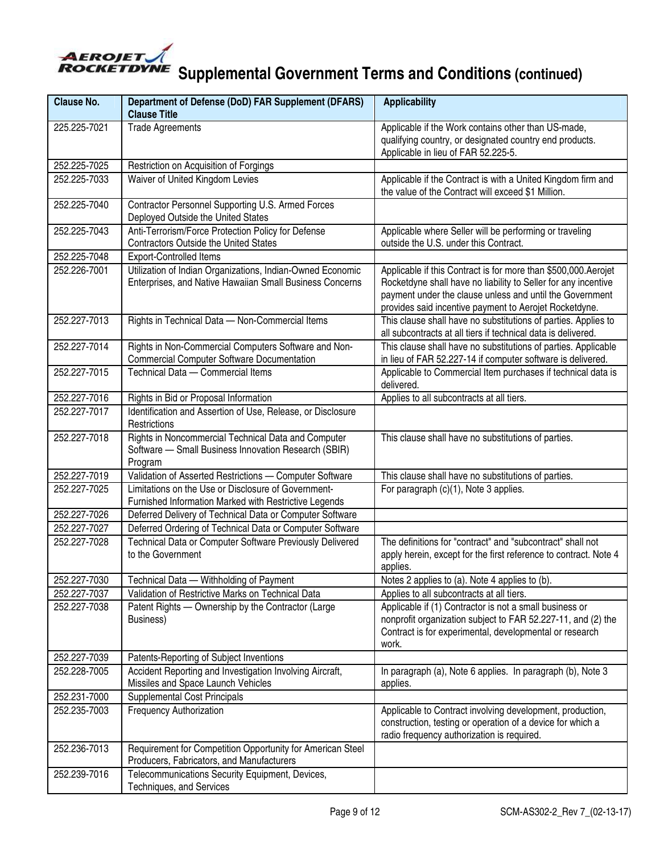

| <b>Clause No.</b> | Department of Defense (DoD) FAR Supplement (DFARS)<br><b>Clause Title</b>                                              | <b>Applicability</b>                                                                                                                                                                                                                                   |
|-------------------|------------------------------------------------------------------------------------------------------------------------|--------------------------------------------------------------------------------------------------------------------------------------------------------------------------------------------------------------------------------------------------------|
| 225.225-7021      | <b>Trade Agreements</b>                                                                                                | Applicable if the Work contains other than US-made,<br>qualifying country, or designated country end products.<br>Applicable in lieu of FAR 52.225-5.                                                                                                  |
| 252.225-7025      | Restriction on Acquisition of Forgings                                                                                 |                                                                                                                                                                                                                                                        |
| 252.225-7033      | Waiver of United Kingdom Levies                                                                                        | Applicable if the Contract is with a United Kingdom firm and<br>the value of the Contract will exceed \$1 Million.                                                                                                                                     |
| 252.225-7040      | Contractor Personnel Supporting U.S. Armed Forces<br>Deployed Outside the United States                                |                                                                                                                                                                                                                                                        |
| 252.225-7043      | Anti-Terrorism/Force Protection Policy for Defense<br><b>Contractors Outside the United States</b>                     | Applicable where Seller will be performing or traveling<br>outside the U.S. under this Contract.                                                                                                                                                       |
| 252.225-7048      | <b>Export-Controlled Items</b>                                                                                         |                                                                                                                                                                                                                                                        |
| 252.226-7001      | Utilization of Indian Organizations, Indian-Owned Economic<br>Enterprises, and Native Hawaiian Small Business Concerns | Applicable if this Contract is for more than \$500,000.Aerojet<br>Rocketdyne shall have no liability to Seller for any incentive<br>payment under the clause unless and until the Government<br>provides said incentive payment to Aerojet Rocketdyne. |
| 252.227-7013      | Rights in Technical Data - Non-Commercial Items                                                                        | This clause shall have no substitutions of parties. Applies to<br>all subcontracts at all tiers if technical data is delivered.                                                                                                                        |
| 252.227-7014      | Rights in Non-Commercial Computers Software and Non-<br><b>Commercial Computer Software Documentation</b>              | This clause shall have no substitutions of parties. Applicable<br>in lieu of FAR 52.227-14 if computer software is delivered.                                                                                                                          |
| 252.227-7015      | Technical Data - Commercial Items                                                                                      | Applicable to Commercial Item purchases if technical data is<br>delivered.                                                                                                                                                                             |
| 252.227-7016      | Rights in Bid or Proposal Information                                                                                  | Applies to all subcontracts at all tiers.                                                                                                                                                                                                              |
| 252.227-7017      | Identification and Assertion of Use, Release, or Disclosure<br>Restrictions                                            |                                                                                                                                                                                                                                                        |
| 252.227-7018      | Rights in Noncommercial Technical Data and Computer<br>Software - Small Business Innovation Research (SBIR)<br>Program | This clause shall have no substitutions of parties.                                                                                                                                                                                                    |
| 252.227-7019      | Validation of Asserted Restrictions - Computer Software                                                                | This clause shall have no substitutions of parties.                                                                                                                                                                                                    |
| 252.227-7025      | Limitations on the Use or Disclosure of Government-<br>Furnished Information Marked with Restrictive Legends           | For paragraph (c)(1), Note 3 applies.                                                                                                                                                                                                                  |
| 252.227-7026      | Deferred Delivery of Technical Data or Computer Software                                                               |                                                                                                                                                                                                                                                        |
| 252.227-7027      | Deferred Ordering of Technical Data or Computer Software                                                               |                                                                                                                                                                                                                                                        |
| 252.227-7028      | Technical Data or Computer Software Previously Delivered<br>to the Government                                          | The definitions for "contract" and "subcontract" shall not<br>apply herein, except for the first reference to contract. Note 4<br>applies.                                                                                                             |
| 252.227-7030      | Technical Data - Withholding of Payment                                                                                | Notes 2 applies to (a). Note 4 applies to (b).                                                                                                                                                                                                         |
| 252.227-7037      | Validation of Restrictive Marks on Technical Data                                                                      | Applies to all subcontracts at all tiers.                                                                                                                                                                                                              |
| 252.227-7038      | Patent Rights - Ownership by the Contractor (Large<br>Business)                                                        | Applicable if (1) Contractor is not a small business or<br>nonprofit organization subject to FAR 52.227-11, and (2) the<br>Contract is for experimental, developmental or research<br>work.                                                            |
| 252.227-7039      | Patents-Reporting of Subject Inventions                                                                                |                                                                                                                                                                                                                                                        |
| 252.228-7005      | Accident Reporting and Investigation Involving Aircraft,<br>Missiles and Space Launch Vehicles                         | In paragraph (a), Note 6 applies. In paragraph (b), Note 3<br>applies.                                                                                                                                                                                 |
| 252.231-7000      | <b>Supplemental Cost Principals</b>                                                                                    |                                                                                                                                                                                                                                                        |
| 252.235-7003      | <b>Frequency Authorization</b>                                                                                         | Applicable to Contract involving development, production,<br>construction, testing or operation of a device for which a<br>radio frequency authorization is required.                                                                                  |
| 252.236-7013      | Requirement for Competition Opportunity for American Steel<br>Producers, Fabricators, and Manufacturers                |                                                                                                                                                                                                                                                        |
| 252.239-7016      | Telecommunications Security Equipment, Devices,<br>Techniques, and Services                                            |                                                                                                                                                                                                                                                        |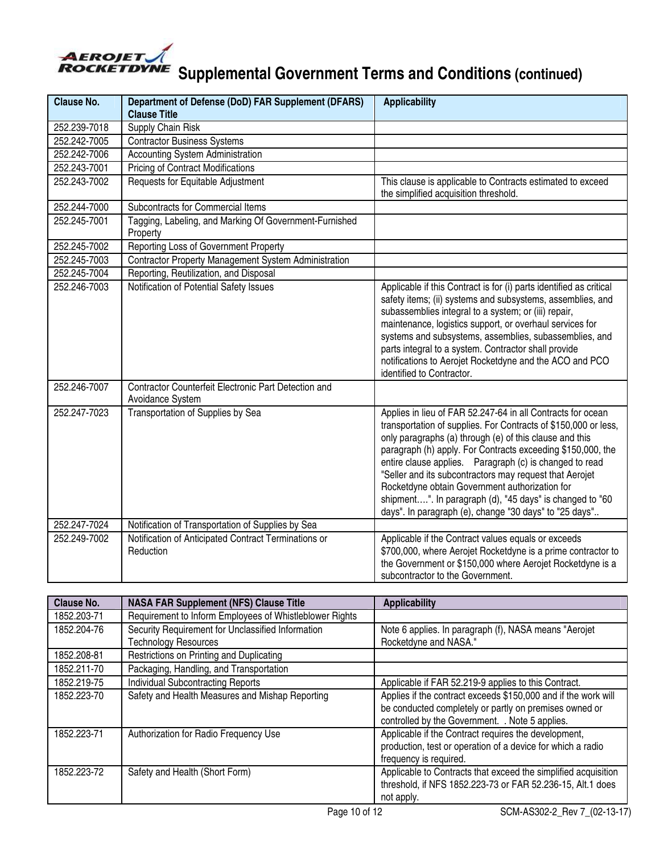

| <b>Clause No.</b> | Department of Defense (DoD) FAR Supplement (DFARS)<br><b>Clause Title</b> | <b>Applicability</b>                                                                                                                                                                                                                                                                                                                                                                                                                                                                                                                                   |
|-------------------|---------------------------------------------------------------------------|--------------------------------------------------------------------------------------------------------------------------------------------------------------------------------------------------------------------------------------------------------------------------------------------------------------------------------------------------------------------------------------------------------------------------------------------------------------------------------------------------------------------------------------------------------|
| 252.239-7018      | <b>Supply Chain Risk</b>                                                  |                                                                                                                                                                                                                                                                                                                                                                                                                                                                                                                                                        |
| 252.242-7005      | <b>Contractor Business Systems</b>                                        |                                                                                                                                                                                                                                                                                                                                                                                                                                                                                                                                                        |
| 252.242-7006      | <b>Accounting System Administration</b>                                   |                                                                                                                                                                                                                                                                                                                                                                                                                                                                                                                                                        |
| 252.243-7001      | <b>Pricing of Contract Modifications</b>                                  |                                                                                                                                                                                                                                                                                                                                                                                                                                                                                                                                                        |
| 252.243-7002      | Requests for Equitable Adjustment                                         | This clause is applicable to Contracts estimated to exceed<br>the simplified acquisition threshold.                                                                                                                                                                                                                                                                                                                                                                                                                                                    |
| 252.244-7000      | Subcontracts for Commercial Items                                         |                                                                                                                                                                                                                                                                                                                                                                                                                                                                                                                                                        |
| 252.245-7001      | Tagging, Labeling, and Marking Of Government-Furnished<br>Property        |                                                                                                                                                                                                                                                                                                                                                                                                                                                                                                                                                        |
| 252.245-7002      | Reporting Loss of Government Property                                     |                                                                                                                                                                                                                                                                                                                                                                                                                                                                                                                                                        |
| 252.245-7003      | Contractor Property Management System Administration                      |                                                                                                                                                                                                                                                                                                                                                                                                                                                                                                                                                        |
| 252.245-7004      | Reporting, Reutilization, and Disposal                                    |                                                                                                                                                                                                                                                                                                                                                                                                                                                                                                                                                        |
| 252.246-7003      | Notification of Potential Safety Issues                                   | Applicable if this Contract is for (i) parts identified as critical<br>safety items; (ii) systems and subsystems, assemblies, and<br>subassemblies integral to a system; or (iii) repair,<br>maintenance, logistics support, or overhaul services for<br>systems and subsystems, assemblies, subassemblies, and<br>parts integral to a system. Contractor shall provide<br>notifications to Aerojet Rocketdyne and the ACO and PCO<br>identified to Contractor.                                                                                        |
| 252.246-7007      | Contractor Counterfeit Electronic Part Detection and<br>Avoidance System  |                                                                                                                                                                                                                                                                                                                                                                                                                                                                                                                                                        |
| 252.247-7023      | Transportation of Supplies by Sea                                         | Applies in lieu of FAR 52.247-64 in all Contracts for ocean<br>transportation of supplies. For Contracts of \$150,000 or less,<br>only paragraphs (a) through (e) of this clause and this<br>paragraph (h) apply. For Contracts exceeding \$150,000, the<br>entire clause applies. Paragraph (c) is changed to read<br>"Seller and its subcontractors may request that Aerojet<br>Rocketdyne obtain Government authorization for<br>shipment". In paragraph (d), "45 days" is changed to "60<br>days". In paragraph (e), change "30 days" to "25 days" |
| 252.247-7024      | Notification of Transportation of Supplies by Sea                         |                                                                                                                                                                                                                                                                                                                                                                                                                                                                                                                                                        |
| 252.249-7002      | Notification of Anticipated Contract Terminations or<br>Reduction         | Applicable if the Contract values equals or exceeds<br>\$700,000, where Aerojet Rocketdyne is a prime contractor to<br>the Government or \$150,000 where Aerojet Rocketdyne is a<br>subcontractor to the Government.                                                                                                                                                                                                                                                                                                                                   |

| <b>Clause No.</b> | <b>NASA FAR Supplement (NFS) Clause Title</b>           | <b>Applicability</b>                                           |
|-------------------|---------------------------------------------------------|----------------------------------------------------------------|
| 1852.203-71       | Requirement to Inform Employees of Whistleblower Rights |                                                                |
| 1852.204-76       | Security Requirement for Unclassified Information       | Note 6 applies. In paragraph (f), NASA means "Aerojet          |
|                   | <b>Technology Resources</b>                             | Rocketdyne and NASA."                                          |
| 1852.208-81       | Restrictions on Printing and Duplicating                |                                                                |
| 1852.211-70       | Packaging, Handling, and Transportation                 |                                                                |
| 1852.219-75       | <b>Individual Subcontracting Reports</b>                | Applicable if FAR 52.219-9 applies to this Contract.           |
| 1852.223-70       | Safety and Health Measures and Mishap Reporting         | Applies if the contract exceeds \$150,000 and if the work will |
|                   |                                                         | be conducted completely or partly on premises owned or         |
|                   |                                                         | controlled by the Government. . Note 5 applies.                |
| 1852.223-71       | Authorization for Radio Frequency Use                   | Applicable if the Contract requires the development,           |
|                   |                                                         | production, test or operation of a device for which a radio    |
|                   |                                                         | frequency is required.                                         |
| 1852.223-72       | Safety and Health (Short Form)                          | Applicable to Contracts that exceed the simplified acquisition |
|                   |                                                         | threshold, if NFS 1852.223-73 or FAR 52.236-15, Alt.1 does     |
|                   |                                                         | not apply.                                                     |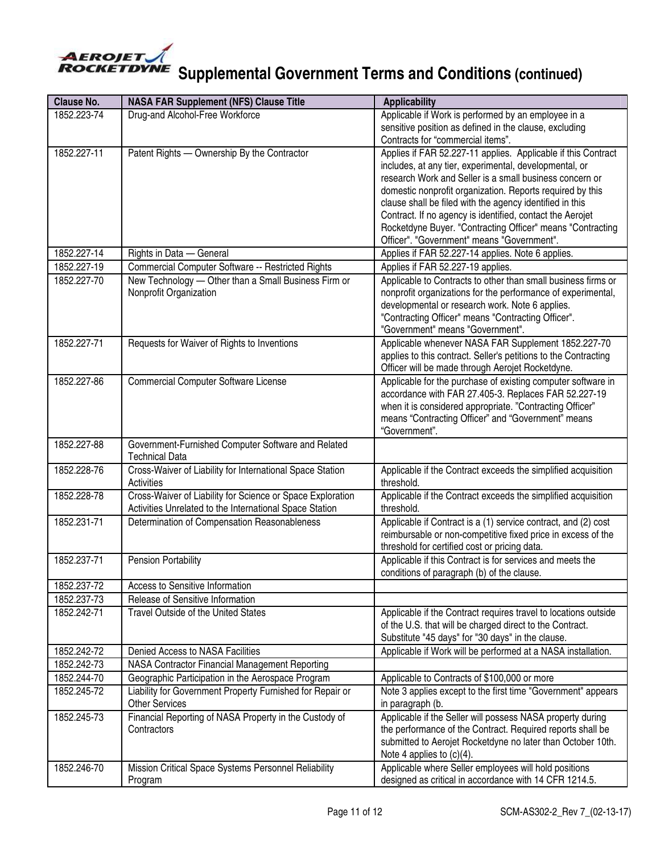

| <b>Clause No.</b> | <b>NASA FAR Supplement (NFS) Clause Title</b>                                      | <b>Applicability</b>                                                                                                 |
|-------------------|------------------------------------------------------------------------------------|----------------------------------------------------------------------------------------------------------------------|
| 1852.223-74       | Drug-and Alcohol-Free Workforce                                                    | Applicable if Work is performed by an employee in a                                                                  |
|                   |                                                                                    | sensitive position as defined in the clause, excluding                                                               |
|                   |                                                                                    | Contracts for "commercial items".                                                                                    |
| 1852.227-11       | Patent Rights - Ownership By the Contractor                                        | Applies if FAR 52.227-11 applies. Applicable if this Contract                                                        |
|                   |                                                                                    | includes, at any tier, experimental, developmental, or                                                               |
|                   |                                                                                    | research Work and Seller is a small business concern or<br>domestic nonprofit organization. Reports required by this |
|                   |                                                                                    | clause shall be filed with the agency identified in this                                                             |
|                   |                                                                                    | Contract. If no agency is identified, contact the Aerojet                                                            |
|                   |                                                                                    | Rocketdyne Buyer. "Contracting Officer" means "Contracting                                                           |
|                   |                                                                                    | Officer". "Government" means "Government".                                                                           |
| 1852.227-14       | Rights in Data - General                                                           | Applies if FAR 52.227-14 applies. Note 6 applies.                                                                    |
| 1852.227-19       | Commercial Computer Software -- Restricted Rights                                  | Applies if FAR 52.227-19 applies.                                                                                    |
| 1852.227-70       | New Technology - Other than a Small Business Firm or                               | Applicable to Contracts to other than small business firms or                                                        |
|                   | Nonprofit Organization                                                             | nonprofit organizations for the performance of experimental,                                                         |
|                   |                                                                                    | developmental or research work. Note 6 applies.                                                                      |
|                   |                                                                                    | "Contracting Officer" means "Contracting Officer".<br>"Government" means "Government".                               |
| 1852.227-71       | Requests for Waiver of Rights to Inventions                                        | Applicable whenever NASA FAR Supplement 1852.227-70                                                                  |
|                   |                                                                                    | applies to this contract. Seller's petitions to the Contracting                                                      |
|                   |                                                                                    | Officer will be made through Aerojet Rocketdyne.                                                                     |
| 1852.227-86       | <b>Commercial Computer Software License</b>                                        | Applicable for the purchase of existing computer software in                                                         |
|                   |                                                                                    | accordance with FAR 27.405-3. Replaces FAR 52.227-19                                                                 |
|                   |                                                                                    | when it is considered appropriate. "Contracting Officer"                                                             |
|                   |                                                                                    | means "Contracting Officer" and "Government" means                                                                   |
|                   |                                                                                    | "Government".                                                                                                        |
| 1852.227-88       | Government-Furnished Computer Software and Related<br><b>Technical Data</b>        |                                                                                                                      |
| 1852.228-76       | Cross-Waiver of Liability for International Space Station                          | Applicable if the Contract exceeds the simplified acquisition                                                        |
|                   | Activities                                                                         | threshold.                                                                                                           |
| 1852.228-78       | Cross-Waiver of Liability for Science or Space Exploration                         | Applicable if the Contract exceeds the simplified acquisition                                                        |
|                   | Activities Unrelated to the International Space Station                            | threshold.                                                                                                           |
| 1852.231-71       | Determination of Compensation Reasonableness                                       | Applicable if Contract is a (1) service contract, and (2) cost                                                       |
|                   |                                                                                    | reimbursable or non-competitive fixed price in excess of the                                                         |
| 1852.237-71       | <b>Pension Portability</b>                                                         | threshold for certified cost or pricing data.<br>Applicable if this Contract is for services and meets the           |
|                   |                                                                                    | conditions of paragraph (b) of the clause.                                                                           |
| 1852.237-72       | Access to Sensitive Information                                                    |                                                                                                                      |
| 1852.237-73       | Release of Sensitive Information                                                   |                                                                                                                      |
| 1852.242-71       | Travel Outside of the United States                                                | Applicable if the Contract requires travel to locations outside                                                      |
|                   |                                                                                    | of the U.S. that will be charged direct to the Contract.                                                             |
|                   |                                                                                    | Substitute "45 days" for "30 days" in the clause.                                                                    |
| 1852.242-72       | Denied Access to NASA Facilities                                                   | Applicable if Work will be performed at a NASA installation.                                                         |
| 1852.242-73       | NASA Contractor Financial Management Reporting                                     |                                                                                                                      |
| 1852.244-70       | Geographic Participation in the Aerospace Program                                  | Applicable to Contracts of \$100,000 or more                                                                         |
| 1852.245-72       | Liability for Government Property Furnished for Repair or<br><b>Other Services</b> | Note 3 applies except to the first time "Government" appears<br>in paragraph (b.                                     |
| 1852.245-73       | Financial Reporting of NASA Property in the Custody of                             | Applicable if the Seller will possess NASA property during                                                           |
|                   | Contractors                                                                        | the performance of the Contract. Required reports shall be                                                           |
|                   |                                                                                    | submitted to Aerojet Rocketdyne no later than October 10th.                                                          |
|                   |                                                                                    | Note 4 applies to $(c)(4)$ .                                                                                         |
| 1852.246-70       | Mission Critical Space Systems Personnel Reliability                               | Applicable where Seller employees will hold positions                                                                |
|                   | Program                                                                            | designed as critical in accordance with 14 CFR 1214.5.                                                               |